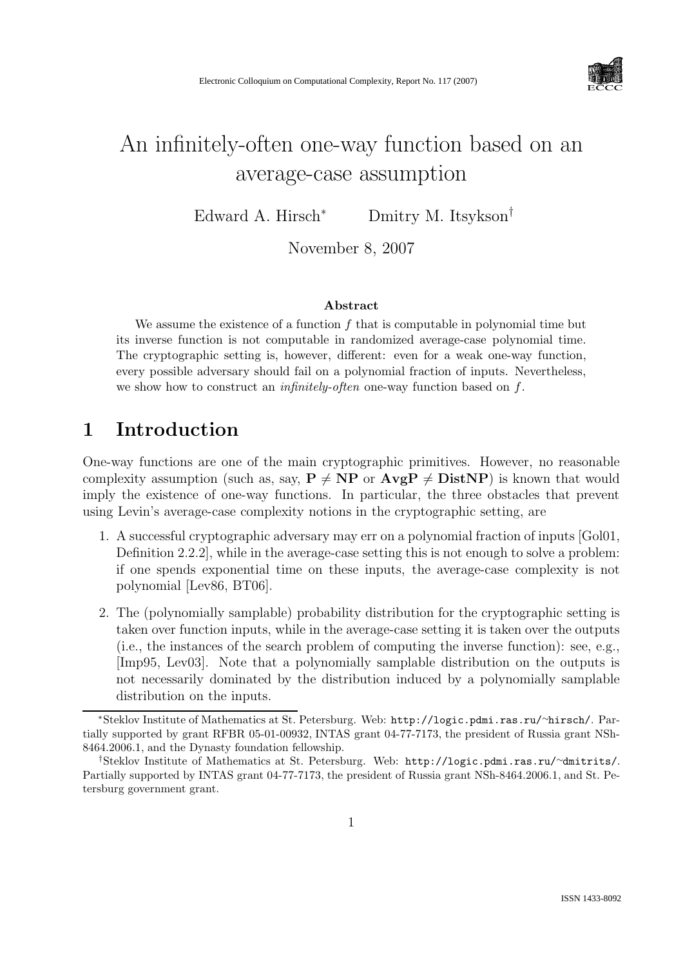

# An infinitely-often one-way function based on an average-case assumption

Edward A. Hirsch<sup>∗</sup> Dmitry M. Itsykson†

November 8, 2007

#### Abstract

We assume the existence of a function  $f$  that is computable in polynomial time but its inverse function is not computable in randomized average-case polynomial time. The cryptographic setting is, however, different: even for a weak one-way function, every possible adversary should fail on a polynomial fraction of inputs. Nevertheless, we show how to construct an *infinitely-often* one-way function based on  $f$ .

## 1 Introduction

One-way functions are one of the main cryptographic primitives. However, no reasonable complexity assumption (such as, say,  $P \neq NP$  or  $AvgP \neq DistNP$ ) is known that would imply the existence of one-way functions. In particular, the three obstacles that prevent using Levin's average-case complexity notions in the cryptographic setting, are

- 1. A successful cryptographic adversary may err on a polynomial fraction of inputs [Gol01, Definition 2.2.2], while in the average-case setting this is not enough to solve a problem: if one spends exponential time on these inputs, the average-case complexity is not polynomial [Lev86, BT06].
- 2. The (polynomially samplable) probability distribution for the cryptographic setting is taken over function inputs, while in the average-case setting it is taken over the outputs (i.e., the instances of the search problem of computing the inverse function): see, e.g., [Imp95, Lev03]. Note that a polynomially samplable distribution on the outputs is not necessarily dominated by the distribution induced by a polynomially samplable distribution on the inputs.

<sup>∗</sup>Steklov Institute of Mathematics at St. Petersburg. Web: http://logic.pdmi.ras.ru/∼hirsch/. Partially supported by grant RFBR 05-01-00932, INTAS grant 04-77-7173, the president of Russia grant NSh-8464.2006.1, and the Dynasty foundation fellowship.

<sup>†</sup>Steklov Institute of Mathematics at St. Petersburg. Web: http://logic.pdmi.ras.ru/∼dmitrits/. Partially supported by INTAS grant 04-77-7173, the president of Russia grant NSh-8464.2006.1, and St. Petersburg government grant.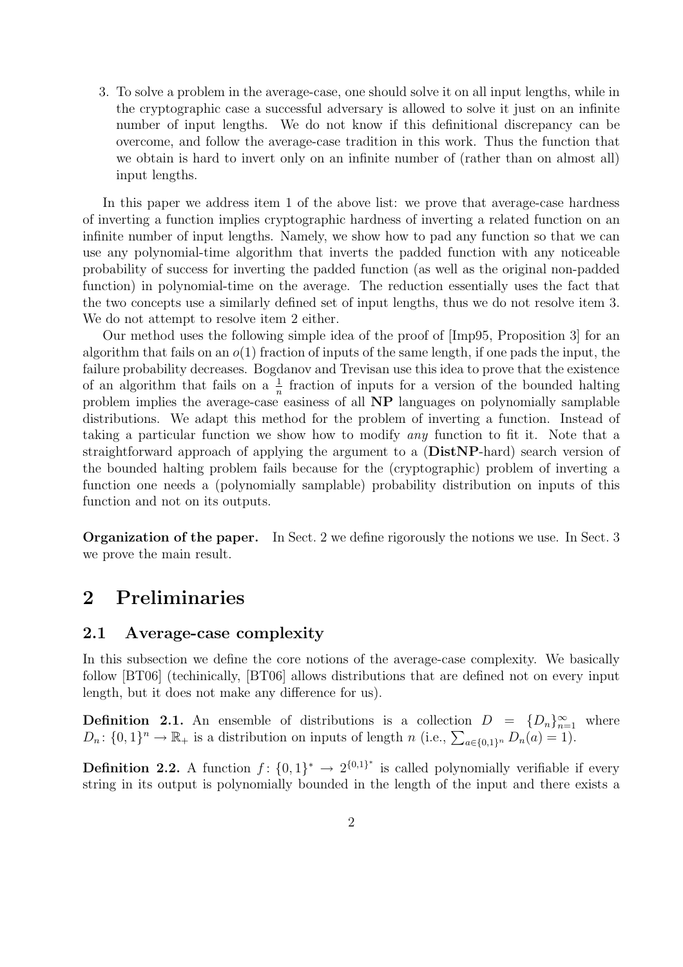3. To solve a problem in the average-case, one should solve it on all input lengths, while in the cryptographic case a successful adversary is allowed to solve it just on an infinite number of input lengths. We do not know if this definitional discrepancy can be overcome, and follow the average-case tradition in this work. Thus the function that we obtain is hard to invert only on an infinite number of (rather than on almost all) input lengths.

In this paper we address item 1 of the above list: we prove that average-case hardness of inverting a function implies cryptographic hardness of inverting a related function on an infinite number of input lengths. Namely, we show how to pad any function so that we can use any polynomial-time algorithm that inverts the padded function with any noticeable probability of success for inverting the padded function (as well as the original non-padded function) in polynomial-time on the average. The reduction essentially uses the fact that the two concepts use a similarly defined set of input lengths, thus we do not resolve item 3. We do not attempt to resolve item 2 either.

Our method uses the following simple idea of the proof of [Imp95, Proposition 3] for an algorithm that fails on an  $o(1)$  fraction of inputs of the same length, if one pads the input, the failure probability decreases. Bogdanov and Trevisan use this idea to prove that the existence of an algorithm that fails on a  $\frac{1}{n}$  fraction of inputs for a version of the bounded halting problem implies the average-case easiness of all NP languages on polynomially samplable distributions. We adapt this method for the problem of inverting a function. Instead of taking a particular function we show how to modify any function to fit it. Note that a straightforward approach of applying the argument to a (DistNP-hard) search version of the bounded halting problem fails because for the (cryptographic) problem of inverting a function one needs a (polynomially samplable) probability distribution on inputs of this function and not on its outputs.

Organization of the paper. In Sect. 2 we define rigorously the notions we use. In Sect. 3 we prove the main result.

### 2 Preliminaries

### 2.1 Average-case complexity

In this subsection we define the core notions of the average-case complexity. We basically follow [BT06] (techinically, [BT06] allows distributions that are defined not on every input length, but it does not make any difference for us).

**Definition 2.1.** An ensemble of distributions is a collection  $D = \{D_n\}_{n=1}^{\infty}$  where  $D_n: \{0,1\}^n \to \mathbb{R}_+$  is a distribution on inputs of length n (i.e.,  $\sum_{a \in \{0,1\}^n} D_n(a) = 1$ ).

**Definition 2.2.** A function  $f: \{0,1\}^* \to 2^{\{0,1\}^*}$  is called polynomially verifiable if every string in its output is polynomially bounded in the length of the input and there exists a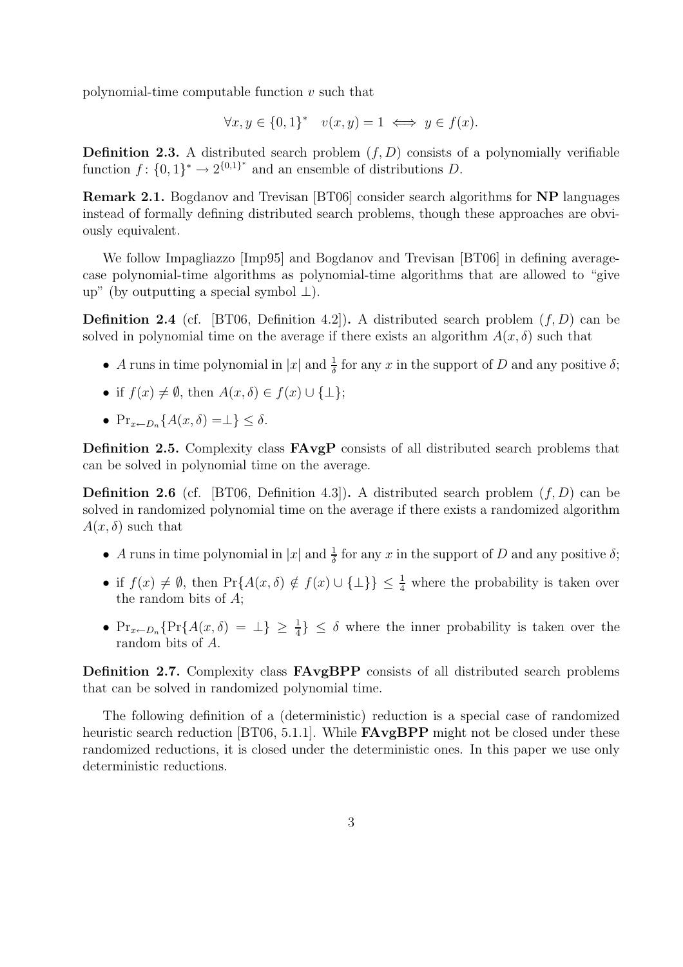polynomial-time computable function  $v$  such that

$$
\forall x, y \in \{0, 1\}^* \quad v(x, y) = 1 \iff y \in f(x).
$$

**Definition 2.3.** A distributed search problem  $(f, D)$  consists of a polynomially verifiable function  $f: \{0,1\}^* \to 2^{\{0,1\}^*}$  and an ensemble of distributions D.

Remark 2.1. Bogdanov and Trevisan [BT06] consider search algorithms for NP languages instead of formally defining distributed search problems, though these approaches are obviously equivalent.

We follow Impagliazzo [Imp95] and Bogdanov and Trevisan [BT06] in defining averagecase polynomial-time algorithms as polynomial-time algorithms that are allowed to "give up" (by outputting a special symbol ⊥).

**Definition 2.4** (cf. [BT06, Definition 4.2]). A distributed search problem  $(f, D)$  can be solved in polynomial time on the average if there exists an algorithm  $A(x, \delta)$  such that

- A runs in time polynomial in  $|x|$  and  $\frac{1}{\delta}$  for any x in the support of D and any positive  $\delta$ ;
- if  $f(x) \neq \emptyset$ , then  $A(x, \delta) \in f(x) \cup \{\perp\};$
- $Pr_{x \leftarrow D_n} \{A(x, \delta) = \perp\} \leq \delta.$

Definition 2.5. Complexity class  $FAvgP$  consists of all distributed search problems that can be solved in polynomial time on the average.

**Definition 2.6** (cf. [BT06, Definition 4.3]). A distributed search problem  $(f, D)$  can be solved in randomized polynomial time on the average if there exists a randomized algorithm  $A(x, \delta)$  such that

- A runs in time polynomial in  $|x|$  and  $\frac{1}{\delta}$  for any x in the support of D and any positive  $\delta$ ;
- if  $f(x) \neq \emptyset$ , then  $Pr{A(x, \delta) \notin f(x) \cup \{\perp\}} \leq \frac{1}{4}$  where the probability is taken over the random bits of A;
- $Pr_{x\leftarrow D_n} \{ Pr\{ A(x, \delta) = \bot \} \geq \frac{1}{4} \} \leq \delta$  where the inner probability is taken over the random bits of A.

Definition 2.7. Complexity class **FAvgBPP** consists of all distributed search problems that can be solved in randomized polynomial time.

The following definition of a (deterministic) reduction is a special case of randomized heuristic search reduction [BT06, 5.1.1]. While **FAvgBPP** might not be closed under these randomized reductions, it is closed under the deterministic ones. In this paper we use only deterministic reductions.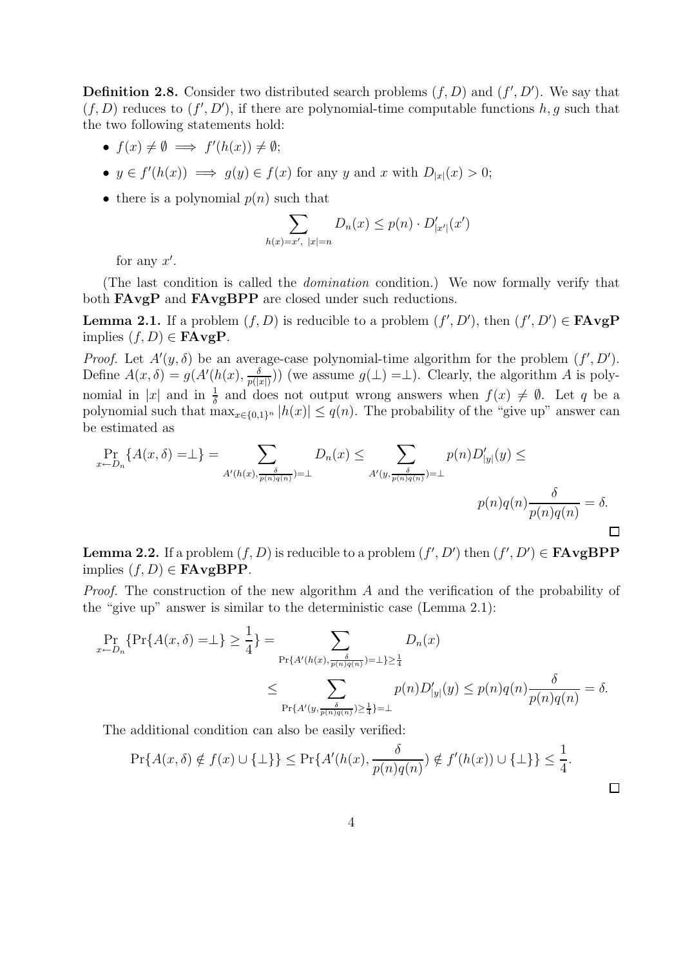**Definition 2.8.** Consider two distributed search problems  $(f, D)$  and  $(f', D')$ . We say that  $(f, D)$  reduces to  $(f', D')$ , if there are polynomial-time computable functions h, g such that the two following statements hold:

- $f(x) \neq \emptyset \implies f'(h(x)) \neq \emptyset;$
- $y \in f'(h(x)) \implies g(y) \in f(x)$  for any y and x with  $D_{|x|}(x) > 0$ ;
- there is a polynomial  $p(n)$  such that

$$
\sum_{h(x)=x', \ |x|=n} D_n(x) \le p(n) \cdot D'_{|x'|}(x')
$$

for any  $x'$ .

(The last condition is called the domination condition.) We now formally verify that both **FAvgP** and **FAvgBPP** are closed under such reductions.

**Lemma 2.1.** If a problem  $(f, D)$  is reducible to a problem  $(f', D')$ , then  $(f', D') \in \mathbf{FAvgP}$ implies  $(f, D) \in \mathbf{FAvgP}$ .

*Proof.* Let  $A'(y, \delta)$  be an average-case polynomial-time algorithm for the problem  $(f', D')$ . Define  $A(x,\delta) = g(A'(h(x),\frac{\delta}{n\delta})$  $\frac{\delta}{p(|x|)}$ ) (we assume  $g(\perp) = \perp$ ). Clearly, the algorithm A is polynomial in |x| and in  $\frac{1}{\delta}$  and does not output wrong answers when  $f(x) \neq \emptyset$ . Let q be a polynomial such that  $\max_{x \in \{0,1\}^n} |h(x)| \leq q(n)$ . The probability of the "give up" answer can be estimated as

$$
\Pr_{x \leftarrow D_n} \{ A(x, \delta) = \perp \} = \sum_{A'(h(x), \frac{\delta}{p(n)q(n)}) = \perp} D_n(x) \le \sum_{A'(y, \frac{\delta}{p(n)q(n)}) = \perp} p(n)D'_{|y|}(y) \le
$$
\n
$$
p(n)q(n)\frac{\delta}{p(n)q(n)} = \delta.
$$

**Lemma 2.2.** If a problem  $(f, D)$  is reducible to a problem  $(f', D')$  then  $(f', D') \in \mathbf{FAvgBPP}$ implies  $(f, D) \in \textbf{FAvgBPP}.$ 

Proof. The construction of the new algorithm A and the verification of the probability of the "give up" answer is similar to the deterministic case (Lemma 2.1):

$$
\Pr_{x \leftarrow D_n} \{ \Pr\{A(x, \delta) = \bot\} \ge \frac{1}{4} \} = \sum_{\Pr\{A'(h(x), \frac{\delta}{p(n)q(n)}) = \bot\} \ge \frac{1}{4}} D_n(x)
$$
\n
$$
\le \sum_{\Pr\{A'(y, \frac{\delta}{p(n)q(n)}) \ge \frac{1}{4}\} = \bot} D_n(x)
$$
\n
$$
\le \sum_{\Pr\{A'(y, \frac{\delta}{p(n)q(n)}) \ge \frac{1}{4}\} = \bot} D_n(x)
$$

The additional condition can also be easily verified:

$$
\Pr\{A(x,\delta) \notin f(x) \cup \{\bot\}\} \le \Pr\{A'(h(x), \frac{\delta}{p(n)q(n)}) \notin f'(h(x)) \cup \{\bot\}\} \le \frac{1}{4}.
$$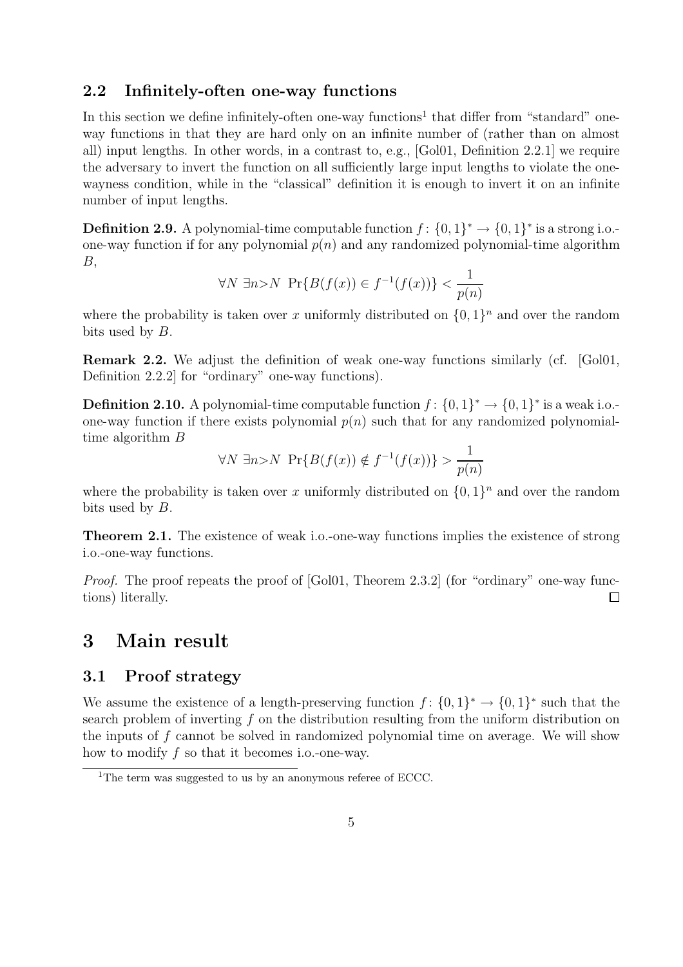#### 2.2 Infinitely-often one-way functions

In this section we define infinitely-often one-way functions<sup>1</sup> that differ from "standard" oneway functions in that they are hard only on an infinite number of (rather than on almost all) input lengths. In other words, in a contrast to, e.g., [Gol01, Definition 2.2.1] we require the adversary to invert the function on all sufficiently large input lengths to violate the onewayness condition, while in the "classical" definition it is enough to invert it on an infinite number of input lengths.

**Definition 2.9.** A polynomial-time computable function  $f: \{0,1\}^* \to \{0,1\}^*$  is a strong i.o.one-way function if for any polynomial  $p(n)$  and any randomized polynomial-time algorithm B,

$$
\forall N \exists n > N \Pr\{B(f(x)) \in f^{-1}(f(x))\} < \frac{1}{p(n)}
$$

where the probability is taken over x uniformly distributed on  $\{0,1\}^n$  and over the random bits used by B.

Remark 2.2. We adjust the definition of weak one-way functions similarly (cf. [Gol01, Definition 2.2.2] for "ordinary" one-way functions).

**Definition 2.10.** A polynomial-time computable function  $f: \{0,1\}^* \to \{0,1\}^*$  is a weak i.o.one-way function if there exists polynomial  $p(n)$  such that for any randomized polynomialtime algorithm B

$$
\forall N \exists n > N \Pr\{B(f(x)) \notin f^{-1}(f(x))\} > \frac{1}{p(n)}
$$

where the probability is taken over x uniformly distributed on  $\{0,1\}^n$  and over the random bits used by B.

Theorem 2.1. The existence of weak i.o.-one-way functions implies the existence of strong i.o.-one-way functions.

Proof. The proof repeats the proof of [Gol01, Theorem 2.3.2] (for "ordinary" one-way functions) literally.  $\Box$ 

### 3 Main result

### 3.1 Proof strategy

We assume the existence of a length-preserving function  $f: \{0,1\}^* \to \{0,1\}^*$  such that the search problem of inverting  $f$  on the distribution resulting from the uniform distribution on the inputs of  $f$  cannot be solved in randomized polynomial time on average. We will show how to modify f so that it becomes i.o.-one-way.

<sup>&</sup>lt;sup>1</sup>The term was suggested to us by an anonymous referee of ECCC.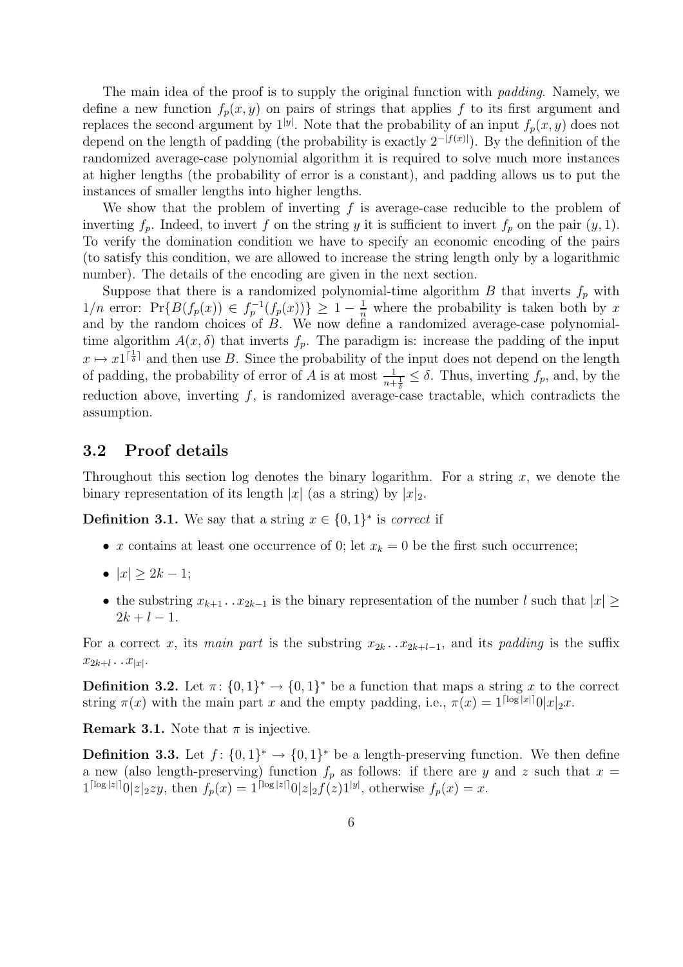The main idea of the proof is to supply the original function with *padding*. Namely, we define a new function  $f_p(x, y)$  on pairs of strings that applies f to its first argument and replaces the second argument by  $1^{|y|}$ . Note that the probability of an input  $f_p(x, y)$  does not depend on the length of padding (the probability is exactly  $2^{-|f(x)|}$ ). By the definition of the randomized average-case polynomial algorithm it is required to solve much more instances at higher lengths (the probability of error is a constant), and padding allows us to put the instances of smaller lengths into higher lengths.

We show that the problem of inverting  $f$  is average-case reducible to the problem of inverting  $f_p$ . Indeed, to invert f on the string y it is sufficient to invert  $f_p$  on the pair  $(y, 1)$ . To verify the domination condition we have to specify an economic encoding of the pairs (to satisfy this condition, we are allowed to increase the string length only by a logarithmic number). The details of the encoding are given in the next section.

Suppose that there is a randomized polynomial-time algorithm  $B$  that inverts  $f_p$  with  $1/n$  error:  $Pr{B(f_p(x)) \in f_p^{-1}(f_p(x))} \geq 1 - \frac{1}{n}$  where the probability is taken both by x and by the random choices of B. We now define a randomized average-case polynomialtime algorithm  $A(x, \delta)$  that inverts  $f_p$ . The paradigm is: increase the padding of the input  $x \mapsto x\mathbb{1}^{\lceil \frac{1}{\delta} \rceil}$  and then use B. Since the probability of the input does not depend on the length of padding, the probability of error of A is at most  $\frac{1}{n+\frac{1}{\delta}} \leq \delta$ . Thus, inverting  $f_p$ , and, by the reduction above, inverting  $f$ , is randomized average-case tractable, which contradicts the assumption.

### 3.2 Proof details

Throughout this section log denotes the binary logarithm. For a string  $x$ , we denote the binary representation of its length |x| (as a string) by  $|x|_2$ .

**Definition 3.1.** We say that a string  $x \in \{0, 1\}^*$  is *correct* if

- x contains at least one occurrence of 0; let  $x_k = 0$  be the first such occurrence;
- $|x| > 2k 1;$
- the substring  $x_{k+1}$ .. $x_{2k-1}$  is the binary representation of the number l such that  $|x| \ge$  $2k + l - 1$ .

For a correct x, its main part is the substring  $x_{2k} \nvert x_{2k+1-1}$ , and its padding is the suffix  $x_{2k+l} \dots x_{|x|}$ .

**Definition 3.2.** Let  $\pi$ :  $\{0,1\}^* \to \{0,1\}^*$  be a function that maps a string x to the correct string  $\pi(x)$  with the main part x and the empty padding, i.e.,  $\pi(x) = 1^{\lceil \log |x| \rceil} 0|x|_2x$ .

**Remark 3.1.** Note that  $\pi$  is injective.

**Definition 3.3.** Let  $f: \{0,1\}^* \to \{0,1\}^*$  be a length-preserving function. We then define a new (also length-preserving) function  $f_p$  as follows: if there are y and z such that  $x =$  $1^{\lceil \log |z| \rceil} 0 |z|_2 z y$ , then  $f_p(x) = 1^{\lceil \log |z| \rceil} 0 |z|_2 f(z) 1^{|y|}$ , otherwise  $f_p(x) = x$ .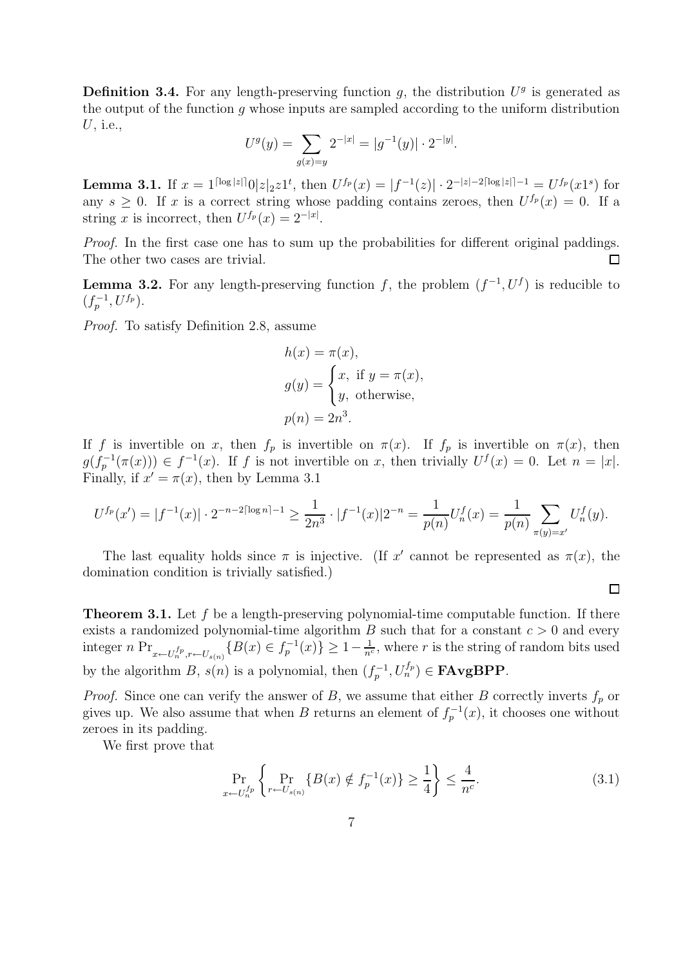**Definition 3.4.** For any length-preserving function  $g$ , the distribution  $U<sup>g</sup>$  is generated as the output of the function  $q$  whose inputs are sampled according to the uniform distribution U, i.e.,

$$
U^g(y) = \sum_{g(x)=y} 2^{-|x|} = |g^{-1}(y)| \cdot 2^{-|y|}.
$$

**Lemma 3.1.** If  $x = 1^{\lceil \log |z| \rceil} 0 |z|_2 z 1^t$ , then  $U^{f_p}(x) = |f^{-1}(z)| \cdot 2^{-|z|-2\lceil \log |z| \rceil - 1} = U^{f_p}(x 1^s)$  for any  $s \geq 0$ . If x is a correct string whose padding contains zeroes, then  $U^{f_p}(x) = 0$ . If a string x is incorrect, then  $U^{f_p}(x) = 2^{-|x|}$ .

Proof. In the first case one has to sum up the probabilities for different original paddings. The other two cases are trivial.  $\Box$ 

**Lemma 3.2.** For any length-preserving function f, the problem  $(f^{-1}, U^f)$  is reducible to  $(f_p^{-1}, U^{f_p}).$ 

Proof. To satisfy Definition 2.8, assume

$$
h(x) = \pi(x),
$$
  
\n
$$
g(y) = \begin{cases} x, & \text{if } y = \pi(x), \\ y, & \text{otherwise,} \end{cases}
$$
  
\n
$$
p(n) = 2n3.
$$

If f is invertible on x, then  $f_p$  is invertible on  $\pi(x)$ . If  $f_p$  is invertible on  $\pi(x)$ , then  $g(f_p^{-1}(\pi(x))) \in f^{-1}(x)$ . If f is not invertible on x, then trivially  $U^f(x) = 0$ . Let  $n = |x|$ . Finally, if  $x' = \pi(x)$ , then by Lemma 3.1

$$
U^{f_p}(x') = |f^{-1}(x)| \cdot 2^{-n-2\lceil \log n \rceil - 1} \ge \frac{1}{2n^3} \cdot |f^{-1}(x)| 2^{-n} = \frac{1}{p(n)} U_n^f(x) = \frac{1}{p(n)} \sum_{\pi(y) = x'} U_n^f(y).
$$

The last equality holds since  $\pi$  is injective. (If x' cannot be represented as  $\pi(x)$ , the domination condition is trivially satisfied.)

**Theorem 3.1.** Let f be a length-preserving polynomial-time computable function. If there exists a randomized polynomial-time algorithm  $B$  such that for a constant  $c > 0$  and every integer  $n \Pr_{x \leftarrow U_n^{fp}, r \leftarrow U_{s(n)}} \{B(x) \in f_p^{-1}(x)\} \ge 1 - \frac{1}{n^c}$ , where r is the string of random bits used by the algorithm B,  $s(n)$  is a polynomial, then  $(f_p^{-1}, U_n^{f_p}) \in \textbf{FAvgBPP}$ .

*Proof.* Since one can verify the answer of B, we assume that either B correctly inverts  $f<sub>p</sub>$  or gives up. We also assume that when B returns an element of  $f_p^{-1}(x)$ , it chooses one without zeroes in its padding.

We first prove that

$$
\Pr_{x \leftarrow U_n^{f_p}} \left\{ \Pr_{r \leftarrow U_{s(n)}} \{B(x) \notin f_p^{-1}(x)\} \ge \frac{1}{4} \right\} \le \frac{4}{n^c}.
$$
\n(3.1)

 $\Box$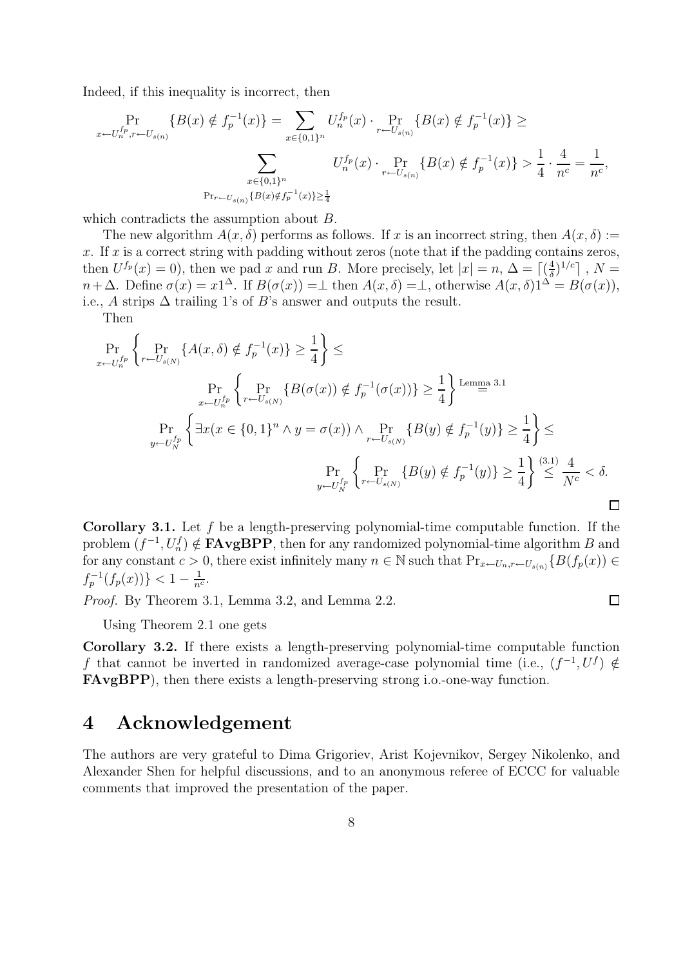Indeed, if this inequality is incorrect, then

$$
\Pr_{x \leftarrow U_{n}^{fp}, r \leftarrow U_{s(n)}} \{B(x) \notin f_{p}^{-1}(x)\} = \sum_{x \in \{0,1\}^{n}} U_{n}^{fp}(x) \cdot \Pr_{r \leftarrow U_{s(n)}} \{B(x) \notin f_{p}^{-1}(x)\} \ge
$$
\n
$$
\sum_{x \in \{0,1\}^{n}} U_{n}^{fp}(x) \cdot \Pr_{r \leftarrow U_{s(n)}} \{B(x) \notin f_{p}^{-1}(x)\} > \frac{1}{4} \cdot \frac{4}{n^{c}} = \frac{1}{n^{c}},
$$
\n
$$
\Pr_{r \leftarrow U_{s(n)}} \{B(x) \notin f_{p}^{-1}(x)\} \ge \frac{1}{4}
$$

which contradicts the assumption about B.

The new algorithm  $A(x, \delta)$  performs as follows. If x is an incorrect string, then  $A(x, \delta) :=$ x. If x is a correct string with padding without zeros (note that if the padding contains zeros, then  $U^{f_p}(x) = 0$ , then we pad x and run B. More precisely, let  $|x| = n$ ,  $\Delta = \lceil (\frac{4}{\delta})^{1/c} \rceil$ ,  $N =$  $n+\Delta$ . Define  $\sigma(x) = x1^{\Delta}$ . If  $B(\sigma(x)) = \bot$  then  $A(x, \delta) = \bot$ , otherwise  $A(x, \delta)1^{\Delta} = B(\sigma(x))$ , i.e., A strips  $\Delta$  trailing 1's of B's answer and outputs the result.

Then

$$
\Pr_{x \leftarrow U_{n}^{fp}} \left\{ \Pr_{r \leftarrow U_{s(N)}} \{ A(x, \delta) \notin f_{p}^{-1}(x) \} \geq \frac{1}{4} \right\} \leq
$$
\n
$$
\Pr_{x \leftarrow U_{n}^{fp}} \left\{ \Pr_{r \leftarrow U_{s(N)}} \{ B(\sigma(x)) \notin f_{p}^{-1}(\sigma(x)) \} \geq \frac{1}{4} \right\} \stackrel{\text{Lemma 3.1}}{=} \right\}
$$
\n
$$
\Pr_{y \leftarrow U_{N}^{fp}} \left\{ \exists x (x \in \{0, 1\}^{n} \land y = \sigma(x)) \land \Pr_{r \leftarrow U_{s(N)}} \{ B(y) \notin f_{p}^{-1}(y) \} \geq \frac{1}{4} \right\} \leq
$$
\n
$$
\Pr_{y \leftarrow U_{N}^{fp}} \left\{ \Pr_{r \leftarrow U_{s(N)}} \{ B(y) \notin f_{p}^{-1}(y) \} \geq \frac{1}{4} \right\} \stackrel{\text{(3.1)}}{\leq} \frac{4}{N^{c}} < \delta.
$$

Corollary 3.1. Let f be a length-preserving polynomial-time computable function. If the problem  $(f^{-1}, U_n^f) \notin \textbf{FAvgBPP}$ , then for any randomized polynomial-time algorithm B and for any constant  $c > 0$ , there exist infinitely many  $n \in \mathbb{N}$  such that  $Pr_{x \leftarrow U_n, r \leftarrow U_{s(n)}} \{B(f_p(x)) \in$  $f_p^{-1}(f_p(x)) \} < 1 - \frac{1}{n^c}.$ 

 $\Box$ 

Proof. By Theorem 3.1, Lemma 3.2, and Lemma 2.2.

Using Theorem 2.1 one gets

Corollary 3.2. If there exists a length-preserving polynomial-time computable function f that cannot be inverted in randomized average-case polynomial time (i.e.,  $(f^{-1}, U^f) \notin$ FAvgBPP), then there exists a length-preserving strong i.o.-one-way function.

### 4 Acknowledgement

The authors are very grateful to Dima Grigoriev, Arist Kojevnikov, Sergey Nikolenko, and Alexander Shen for helpful discussions, and to an anonymous referee of ECCC for valuable comments that improved the presentation of the paper.